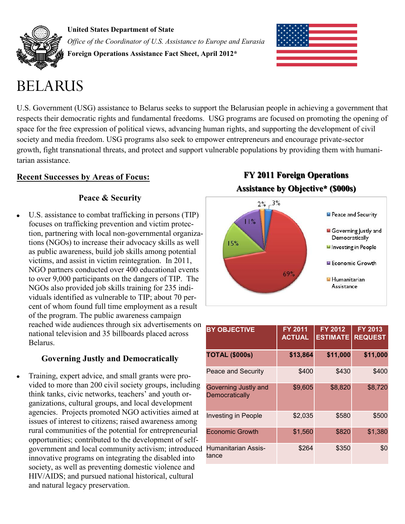

**United States Department of State** *Office of the Coordinator of U.S. Assistance to Europe and Eurasia* **Foreign Operations Assistance Fact Sheet, April 2012\***



# BELARUS

U.S. Government (USG) assistance to Belarus seeks to support the Belarusian people in achieving a government that respects their democratic rights and fundamental freedoms. USG programs are focused on promoting the opening of space for the free expression of political views, advancing human rights, and supporting the development of civil society and media freedom. USG programs also seek to empower entrepreneurs and encourage private-sector growth, fight transnational threats, and protect and support vulnerable populations by providing them with humanitarian assistance.

# **Recent Successes by Areas of Focus:**

# **Peace & Security**

U.S. assistance to combat trafficking in persons (TIP) focuses on trafficking prevention and victim protection, partnering with local non-governmental organizations (NGOs) to increase their advocacy skills as well as public awareness, build job skills among potential victims, and assist in victim reintegration. In 2011, NGO partners conducted over 400 educational events to over 9,000 participants on the dangers of TIP. The NGOs also provided job skills training for 235 individuals identified as vulnerable to TIP; about 70 percent of whom found full time employment as a result of the program. The public awareness campaign reached wide audiences through six advertisements on national television and 35 billboards placed across Belarus.

# **Governing Justly and Democratically**

Training, expert advice, and small grants were provided to more than 200 civil society groups, including think tanks, civic networks, teachers' and youth organizations, cultural groups, and local development agencies. Projects promoted NGO activities aimed at issues of interest to citizens; raised awareness among rural communities of the potential for entrepreneurial opportunities; contributed to the development of selfgovernment and local community activism; introduced innovative programs on integrating the disabled into society, as well as preventing domestic violence and HIV/AIDS; and pursued national historical, cultural and natural legacy preservation.

**FY 2011 Foreign Operations Assistance by Objective\* (\$000s)**



| <b>BY OBJECTIVE</b>                    | <b>FY 2011</b><br><b>ACTUAL</b> | <b>FY 2012</b><br><b>ESTIMATE</b> | <b>FY 2013</b><br><b>REQUEST</b> |
|----------------------------------------|---------------------------------|-----------------------------------|----------------------------------|
| <b>TOTAL (\$000s)</b>                  | \$13,864                        | \$11,000                          | \$11,000                         |
| Peace and Security                     | \$400                           | \$430                             | \$400                            |
| Governing Justly and<br>Democratically | \$9,605                         | \$8,820                           | \$8,720                          |
| <b>Investing in People</b>             | \$2,035                         | \$580                             | \$500                            |
| <b>Economic Growth</b>                 | \$1,560                         | \$820                             | \$1,380                          |
| <b>Humanitarian Assis-</b><br>tance    | \$264                           | \$350                             | \$0                              |